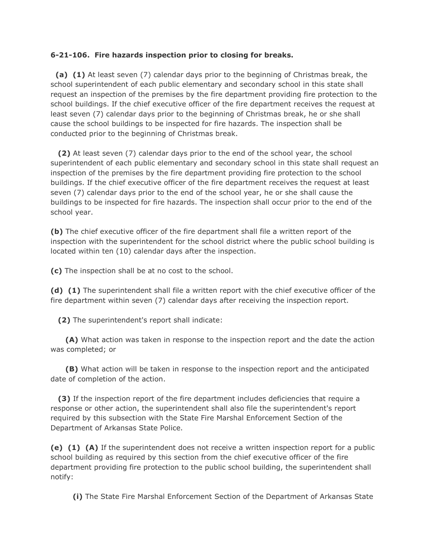## **6-21-106. Fire hazards inspection prior to closing for breaks.**

 **(a) (1)** At least seven (7) calendar days prior to the beginning of Christmas break, the school superintendent of each public elementary and secondary school in this state shall request an inspection of the premises by the fire department providing fire protection to the school buildings. If the chief executive officer of the fire department receives the request at least seven (7) calendar days prior to the beginning of Christmas break, he or she shall cause the school buildings to be inspected for fire hazards. The inspection shall be conducted prior to the beginning of Christmas break.

 **(2)** At least seven (7) calendar days prior to the end of the school year, the school superintendent of each public elementary and secondary school in this state shall request an inspection of the premises by the fire department providing fire protection to the school buildings. If the chief executive officer of the fire department receives the request at least seven (7) calendar days prior to the end of the school year, he or she shall cause the buildings to be inspected for fire hazards. The inspection shall occur prior to the end of the school year.

**(b)** The chief executive officer of the fire department shall file a written report of the inspection with the superintendent for the school district where the public school building is located within ten (10) calendar days after the inspection.

**(c)** The inspection shall be at no cost to the school.

**(d) (1)** The superintendent shall file a written report with the chief executive officer of the fire department within seven (7) calendar days after receiving the inspection report.

**(2)** The superintendent's report shall indicate:

 **(A)** What action was taken in response to the inspection report and the date the action was completed; or

 **(B)** What action will be taken in response to the inspection report and the anticipated date of completion of the action.

 **(3)** If the inspection report of the fire department includes deficiencies that require a response or other action, the superintendent shall also file the superintendent's report required by this subsection with the State Fire Marshal Enforcement Section of the Department of Arkansas State Police.

**(e) (1) (A)** If the superintendent does not receive a written inspection report for a public school building as required by this section from the chief executive officer of the fire department providing fire protection to the public school building, the superintendent shall notify:

**(i)** The State Fire Marshal Enforcement Section of the Department of Arkansas State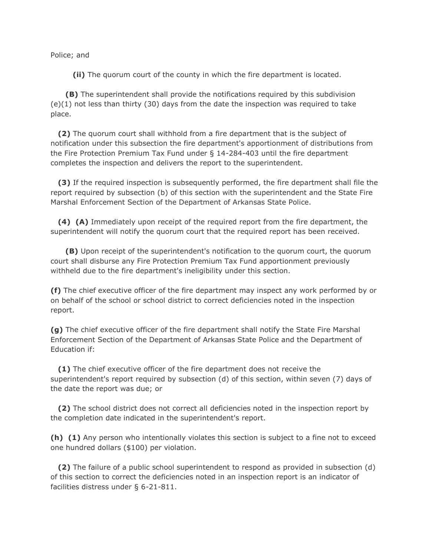Police; and

**(ii)** The quorum court of the county in which the fire department is located.

 **(B)** The superintendent shall provide the notifications required by this subdivision (e)(1) not less than thirty (30) days from the date the inspection was required to take place.

 **(2)** The quorum court shall withhold from a fire department that is the subject of notification under this subsection the fire department's apportionment of distributions from the Fire Protection Premium Tax Fund under § 14-284-403 until the fire department completes the inspection and delivers the report to the superintendent.

 **(3)** If the required inspection is subsequently performed, the fire department shall file the report required by subsection (b) of this section with the superintendent and the State Fire Marshal Enforcement Section of the Department of Arkansas State Police.

 **(4) (A)** Immediately upon receipt of the required report from the fire department, the superintendent will notify the quorum court that the required report has been received.

 **(B)** Upon receipt of the superintendent's notification to the quorum court, the quorum court shall disburse any Fire Protection Premium Tax Fund apportionment previously withheld due to the fire department's ineligibility under this section.

**(f)** The chief executive officer of the fire department may inspect any work performed by or on behalf of the school or school district to correct deficiencies noted in the inspection report.

**(g)** The chief executive officer of the fire department shall notify the State Fire Marshal Enforcement Section of the Department of Arkansas State Police and the Department of Education if:

 **(1)** The chief executive officer of the fire department does not receive the superintendent's report required by subsection (d) of this section, within seven (7) days of the date the report was due; or

 **(2)** The school district does not correct all deficiencies noted in the inspection report by the completion date indicated in the superintendent's report.

**(h) (1)** Any person who intentionally violates this section is subject to a fine not to exceed one hundred dollars (\$100) per violation.

 **(2)** The failure of a public school superintendent to respond as provided in subsection (d) of this section to correct the deficiencies noted in an inspection report is an indicator of facilities distress under § 6-21-811.